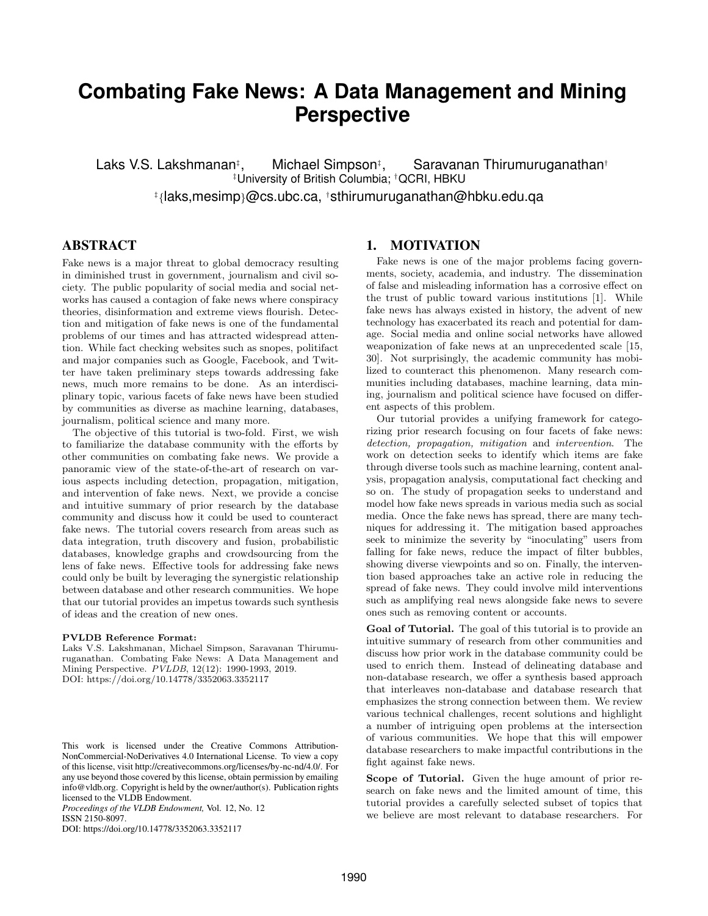# **Combating Fake News: A Data Management and Mining Perspective**

Laks V.S. Lakshmanan<sup>‡</sup>. Michael Simpson<sup>‡</sup>, , Saravanan Thirumuruganathan† ‡University of British Columbia; †QCRI, HBKU ‡ {laks,mesimp}@cs.ubc.ca, †sthirumuruganathan@hbku.edu.qa

# ABSTRACT

Fake news is a major threat to global democracy resulting in diminished trust in government, journalism and civil society. The public popularity of social media and social networks has caused a contagion of fake news where conspiracy theories, disinformation and extreme views flourish. Detection and mitigation of fake news is one of the fundamental problems of our times and has attracted widespread attention. While fact checking websites such as snopes, politifact and major companies such as Google, Facebook, and Twitter have taken preliminary steps towards addressing fake news, much more remains to be done. As an interdisciplinary topic, various facets of fake news have been studied by communities as diverse as machine learning, databases, journalism, political science and many more.

The objective of this tutorial is two-fold. First, we wish to familiarize the database community with the efforts by other communities on combating fake news. We provide a panoramic view of the state-of-the-art of research on various aspects including detection, propagation, mitigation, and intervention of fake news. Next, we provide a concise and intuitive summary of prior research by the database community and discuss how it could be used to counteract fake news. The tutorial covers research from areas such as data integration, truth discovery and fusion, probabilistic databases, knowledge graphs and crowdsourcing from the lens of fake news. Effective tools for addressing fake news could only be built by leveraging the synergistic relationship between database and other research communities. We hope that our tutorial provides an impetus towards such synthesis of ideas and the creation of new ones.

#### PVLDB Reference Format:

Laks V.S. Lakshmanan, Michael Simpson, Saravanan Thirumuruganathan. Combating Fake News: A Data Management and Mining Perspective. PVLDB, 12(12): 1990-1993, 2019. DOI: https://doi.org/10.14778/3352063.3352117

*Proceedings of the VLDB Endowment,* Vol. 12, No. 12 ISSN 2150-8097.

DOI: https://doi.org/10.14778/3352063.3352117

#### 1. MOTIVATION

Fake news is one of the major problems facing governments, society, academia, and industry. The dissemination of false and misleading information has a corrosive effect on the trust of public toward various institutions [1]. While fake news has always existed in history, the advent of new technology has exacerbated its reach and potential for damage. Social media and online social networks have allowed weaponization of fake news at an unprecedented scale [15, 30]. Not surprisingly, the academic community has mobilized to counteract this phenomenon. Many research communities including databases, machine learning, data mining, journalism and political science have focused on different aspects of this problem.

Our tutorial provides a unifying framework for categorizing prior research focusing on four facets of fake news: detection, propagation, mitigation and intervention. The work on detection seeks to identify which items are fake through diverse tools such as machine learning, content analysis, propagation analysis, computational fact checking and so on. The study of propagation seeks to understand and model how fake news spreads in various media such as social media. Once the fake news has spread, there are many techniques for addressing it. The mitigation based approaches seek to minimize the severity by "inoculating" users from falling for fake news, reduce the impact of filter bubbles, showing diverse viewpoints and so on. Finally, the intervention based approaches take an active role in reducing the spread of fake news. They could involve mild interventions such as amplifying real news alongside fake news to severe ones such as removing content or accounts.

Goal of Tutorial. The goal of this tutorial is to provide an intuitive summary of research from other communities and discuss how prior work in the database community could be used to enrich them. Instead of delineating database and non-database research, we offer a synthesis based approach that interleaves non-database and database research that emphasizes the strong connection between them. We review various technical challenges, recent solutions and highlight a number of intriguing open problems at the intersection of various communities. We hope that this will empower database researchers to make impactful contributions in the fight against fake news.

Scope of Tutorial. Given the huge amount of prior research on fake news and the limited amount of time, this tutorial provides a carefully selected subset of topics that we believe are most relevant to database researchers. For

This work is licensed under the Creative Commons Attribution-NonCommercial-NoDerivatives 4.0 International License. To view a copy of this license, visit http://creativecommons.org/licenses/by-nc-nd/4.0/. For any use beyond those covered by this license, obtain permission by emailing info@vldb.org. Copyright is held by the owner/author(s). Publication rights licensed to the VLDB Endowment.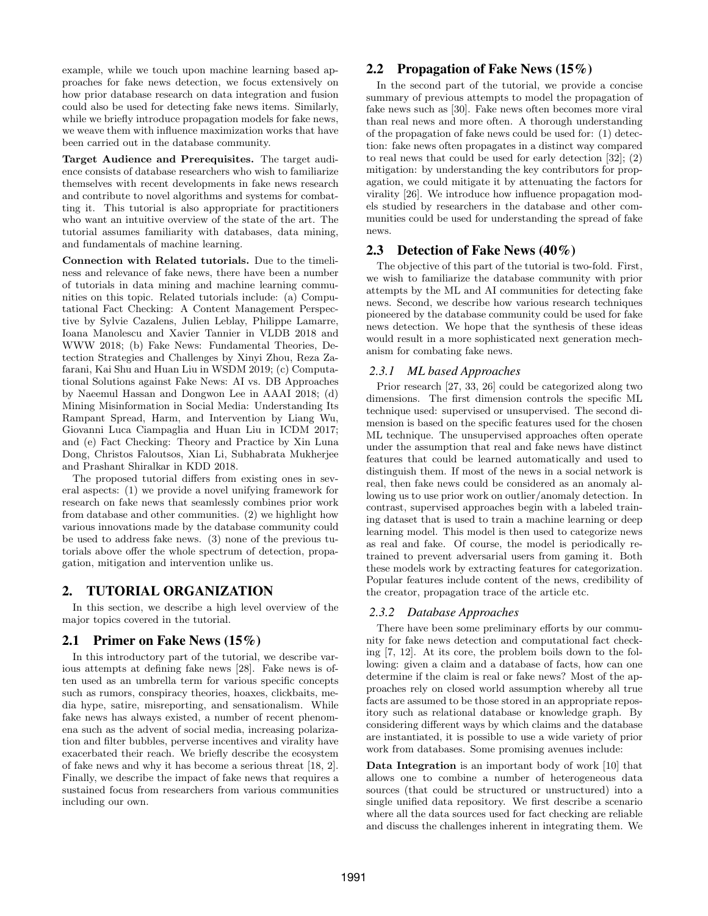example, while we touch upon machine learning based approaches for fake news detection, we focus extensively on how prior database research on data integration and fusion could also be used for detecting fake news items. Similarly, while we briefly introduce propagation models for fake news, we weave them with influence maximization works that have been carried out in the database community.

Target Audience and Prerequisites. The target audience consists of database researchers who wish to familiarize themselves with recent developments in fake news research and contribute to novel algorithms and systems for combatting it. This tutorial is also appropriate for practitioners who want an intuitive overview of the state of the art. The tutorial assumes familiarity with databases, data mining, and fundamentals of machine learning.

Connection with Related tutorials. Due to the timeliness and relevance of fake news, there have been a number of tutorials in data mining and machine learning communities on this topic. Related tutorials include: (a) Computational Fact Checking: A Content Management Perspective by Sylvie Cazalens, Julien Leblay, Philippe Lamarre, Ioana Manolescu and Xavier Tannier in VLDB 2018 and WWW 2018; (b) Fake News: Fundamental Theories, Detection Strategies and Challenges by Xinyi Zhou, Reza Zafarani, Kai Shu and Huan Liu in WSDM 2019; (c) Computational Solutions against Fake News: AI vs. DB Approaches by Naeemul Hassan and Dongwon Lee in AAAI 2018; (d) Mining Misinformation in Social Media: Understanding Its Rampant Spread, Harm, and Intervention by Liang Wu, Giovanni Luca Ciampaglia and Huan Liu in ICDM 2017; and (e) Fact Checking: Theory and Practice by Xin Luna Dong, Christos Faloutsos, Xian Li, Subhabrata Mukherjee and Prashant Shiralkar in KDD 2018.

The proposed tutorial differs from existing ones in several aspects: (1) we provide a novel unifying framework for research on fake news that seamlessly combines prior work from database and other communities. (2) we highlight how various innovations made by the database community could be used to address fake news. (3) none of the previous tutorials above offer the whole spectrum of detection, propagation, mitigation and intervention unlike us.

# 2. TUTORIAL ORGANIZATION

In this section, we describe a high level overview of the major topics covered in the tutorial.

#### 2.1 Primer on Fake News (15%)

In this introductory part of the tutorial, we describe various attempts at defining fake news [28]. Fake news is often used as an umbrella term for various specific concepts such as rumors, conspiracy theories, hoaxes, clickbaits, media hype, satire, misreporting, and sensationalism. While fake news has always existed, a number of recent phenomena such as the advent of social media, increasing polarization and filter bubbles, perverse incentives and virality have exacerbated their reach. We briefly describe the ecosystem of fake news and why it has become a serious threat [18, 2]. Finally, we describe the impact of fake news that requires a sustained focus from researchers from various communities including our own.

#### 2.2 Propagation of Fake News (15%)

In the second part of the tutorial, we provide a concise summary of previous attempts to model the propagation of fake news such as [30]. Fake news often becomes more viral than real news and more often. A thorough understanding of the propagation of fake news could be used for: (1) detection: fake news often propagates in a distinct way compared to real news that could be used for early detection [32]; (2) mitigation: by understanding the key contributors for propagation, we could mitigate it by attenuating the factors for virality [26]. We introduce how influence propagation models studied by researchers in the database and other communities could be used for understanding the spread of fake news.

# 2.3 Detection of Fake News (40%)

The objective of this part of the tutorial is two-fold. First, we wish to familiarize the database community with prior attempts by the ML and AI communities for detecting fake news. Second, we describe how various research techniques pioneered by the database community could be used for fake news detection. We hope that the synthesis of these ideas would result in a more sophisticated next generation mechanism for combating fake news.

#### *2.3.1 ML based Approaches*

Prior research [27, 33, 26] could be categorized along two dimensions. The first dimension controls the specific ML technique used: supervised or unsupervised. The second dimension is based on the specific features used for the chosen ML technique. The unsupervised approaches often operate under the assumption that real and fake news have distinct features that could be learned automatically and used to distinguish them. If most of the news in a social network is real, then fake news could be considered as an anomaly allowing us to use prior work on outlier/anomaly detection. In contrast, supervised approaches begin with a labeled training dataset that is used to train a machine learning or deep learning model. This model is then used to categorize news as real and fake. Of course, the model is periodically retrained to prevent adversarial users from gaming it. Both these models work by extracting features for categorization. Popular features include content of the news, credibility of the creator, propagation trace of the article etc.

#### *2.3.2 Database Approaches*

There have been some preliminary efforts by our community for fake news detection and computational fact checking [7, 12]. At its core, the problem boils down to the following: given a claim and a database of facts, how can one determine if the claim is real or fake news? Most of the approaches rely on closed world assumption whereby all true facts are assumed to be those stored in an appropriate repository such as relational database or knowledge graph. By considering different ways by which claims and the database are instantiated, it is possible to use a wide variety of prior work from databases. Some promising avenues include:

Data Integration is an important body of work [10] that allows one to combine a number of heterogeneous data sources (that could be structured or unstructured) into a single unified data repository. We first describe a scenario where all the data sources used for fact checking are reliable and discuss the challenges inherent in integrating them. We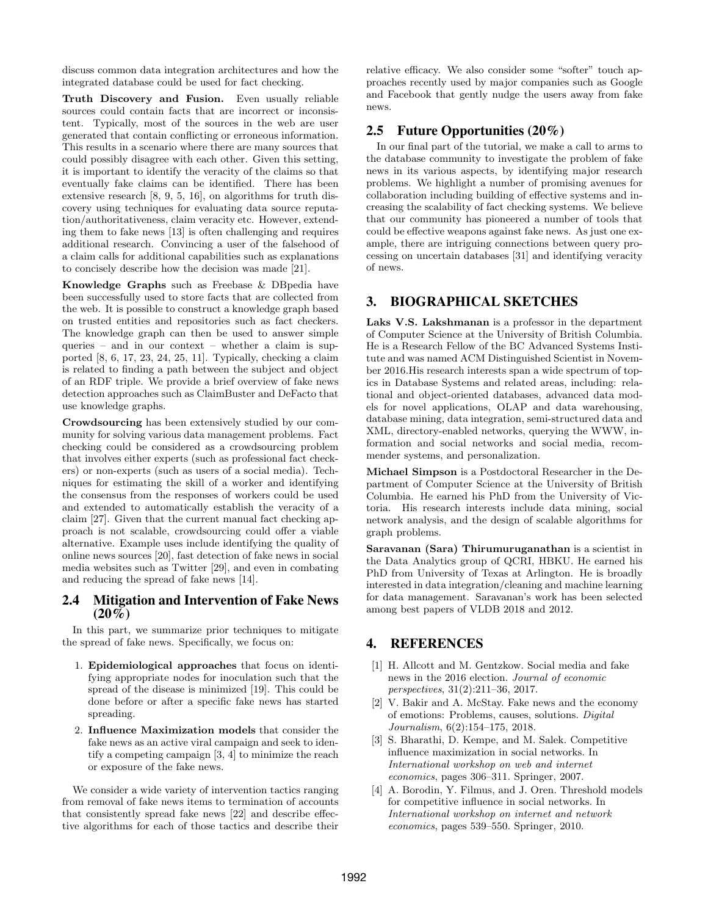discuss common data integration architectures and how the integrated database could be used for fact checking.

Truth Discovery and Fusion. Even usually reliable sources could contain facts that are incorrect or inconsistent. Typically, most of the sources in the web are user generated that contain conflicting or erroneous information. This results in a scenario where there are many sources that could possibly disagree with each other. Given this setting, it is important to identify the veracity of the claims so that eventually fake claims can be identified. There has been extensive research [8, 9, 5, 16], on algorithms for truth discovery using techniques for evaluating data source reputation/authoritativeness, claim veracity etc. However, extending them to fake news [13] is often challenging and requires additional research. Convincing a user of the falsehood of a claim calls for additional capabilities such as explanations to concisely describe how the decision was made [21].

Knowledge Graphs such as Freebase & DBpedia have been successfully used to store facts that are collected from the web. It is possible to construct a knowledge graph based on trusted entities and repositories such as fact checkers. The knowledge graph can then be used to answer simple queries – and in our context – whether a claim is supported [8, 6, 17, 23, 24, 25, 11]. Typically, checking a claim is related to finding a path between the subject and object of an RDF triple. We provide a brief overview of fake news detection approaches such as ClaimBuster and DeFacto that use knowledge graphs.

Crowdsourcing has been extensively studied by our community for solving various data management problems. Fact checking could be considered as a crowdsourcing problem that involves either experts (such as professional fact checkers) or non-experts (such as users of a social media). Techniques for estimating the skill of a worker and identifying the consensus from the responses of workers could be used and extended to automatically establish the veracity of a claim [27]. Given that the current manual fact checking approach is not scalable, crowdsourcing could offer a viable alternative. Example uses include identifying the quality of online news sources [20], fast detection of fake news in social media websites such as Twitter [29], and even in combating and reducing the spread of fake news [14].

#### 2.4 Mitigation and Intervention of Fake News  $(20\%)$

In this part, we summarize prior techniques to mitigate the spread of fake news. Specifically, we focus on:

- 1. Epidemiological approaches that focus on identifying appropriate nodes for inoculation such that the spread of the disease is minimized [19]. This could be done before or after a specific fake news has started spreading.
- 2. Influence Maximization models that consider the fake news as an active viral campaign and seek to identify a competing campaign [3, 4] to minimize the reach or exposure of the fake news.

We consider a wide variety of intervention tactics ranging from removal of fake news items to termination of accounts that consistently spread fake news [22] and describe effective algorithms for each of those tactics and describe their

relative efficacy. We also consider some "softer" touch approaches recently used by major companies such as Google and Facebook that gently nudge the users away from fake news.

# 2.5 Future Opportunities (20%)

In our final part of the tutorial, we make a call to arms to the database community to investigate the problem of fake news in its various aspects, by identifying major research problems. We highlight a number of promising avenues for collaboration including building of effective systems and increasing the scalability of fact checking systems. We believe that our community has pioneered a number of tools that could be effective weapons against fake news. As just one example, there are intriguing connections between query processing on uncertain databases [31] and identifying veracity of news.

# 3. BIOGRAPHICAL SKETCHES

Laks V.S. Lakshmanan is a professor in the department of Computer Science at the University of British Columbia. He is a Research Fellow of the BC Advanced Systems Institute and was named ACM Distinguished Scientist in November 2016.His research interests span a wide spectrum of topics in Database Systems and related areas, including: relational and object-oriented databases, advanced data models for novel applications, OLAP and data warehousing, database mining, data integration, semi-structured data and XML, directory-enabled networks, querying the WWW, information and social networks and social media, recommender systems, and personalization.

Michael Simpson is a Postdoctoral Researcher in the Department of Computer Science at the University of British Columbia. He earned his PhD from the University of Victoria. His research interests include data mining, social network analysis, and the design of scalable algorithms for graph problems.

Saravanan (Sara) Thirumuruganathan is a scientist in the Data Analytics group of QCRI, HBKU. He earned his PhD from University of Texas at Arlington. He is broadly interested in data integration/cleaning and machine learning for data management. Saravanan's work has been selected among best papers of VLDB 2018 and 2012.

# 4. REFERENCES

- [1] H. Allcott and M. Gentzkow. Social media and fake news in the 2016 election. Journal of economic perspectives, 31(2):211–36, 2017.
- [2] V. Bakir and A. McStay. Fake news and the economy of emotions: Problems, causes, solutions. Digital Journalism, 6(2):154–175, 2018.
- [3] S. Bharathi, D. Kempe, and M. Salek. Competitive influence maximization in social networks. In International workshop on web and internet economics, pages 306–311. Springer, 2007.
- [4] A. Borodin, Y. Filmus, and J. Oren. Threshold models for competitive influence in social networks. In International workshop on internet and network economics, pages 539–550. Springer, 2010.